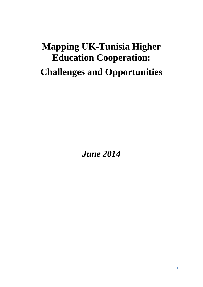# **Mapping UK-Tunisia Higher Education Cooperation: Challenges and Opportunities**

*June 2014*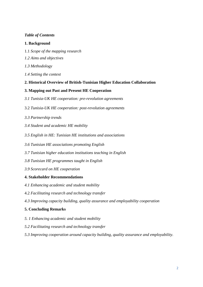## *Table of Contents*

#### **1. Background**

- 1.1 *Scope of the mapping research*
- *1.2 Aims and objectives*
- *1.3 Methodology*
- *1.4 Setting the context*

#### **2. Historical Overview of British-Tunisian Higher Education Collaboration**

#### **3. Mapping out Past and Present HE Cooperation**

- *3.1 Tunisia-UK HE cooperation: pre-revolution agreements*
- 3.2 *Tunisia-UK HE cooperation: post-revolution agreements*
- *3.3 Partnership trends*
- *3.4 Student and academic HE mobility*
- *3.5 English in HE: Tunisian HE institutions and associations*
- *3.6 Tunisian HE associations promoting English*
- *3.7 Tunisian higher education institutions teaching in English*
- *3.8 Tunisian HE programmes taught in English*
- *3.9 Scorecard on HE cooperation*

#### **4. Stakeholder Recommendations**

- *4.1 Enhancing academic and student mobility*
- 4.2 *Facilitating research and technology transfer*
- *4.3 Improving capacity building, quality assurance and employability cooperation*

## **5. Concluding Remarks**

- *5. 1 Enhancing academic and student mobility*
- *5.2 Facilitating research and technology transfer*
- *5.3 Improving cooperation around capacity building, quality assurance and employability.*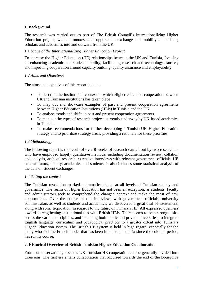## **1. Background**

The research was carried out as part of The British Council's Internationalizing Higher Education project, which promotes and supports the exchange and mobility of students, scholars and academics into and outward from the UK.

## 1.1 *Scope of the Internationalizing Higher Education Project*

To increase the Higher Education (HE) relationships between the UK and Tunisia, focusing on enhancing academic and student mobility; facilitating research and technology transfer; and improving cooperation around capacity building, quality assurance and employability.

#### *1.2 Aims and Objectives*

The aims and objectives of this report include:

- To describe the institutional context in which Higher education cooperation between UK and Tunisian institutions has taken place
- To map out and showcase examples of past and present cooperation agreements between Higher Education Institutions (HEIs) in Tunisia and the UK
- To analyse trends and shifts in past and present cooperation agreements
- To map out the types of research projects currently underway by UK-based academics in Tunisia.
- To make recommendations for further developing a Tunisia-UK Higher Education strategy and to prioritize strategy areas, providing a rationale for these priorities.

#### *1.3 Methodology*

The following report is the result of over 8 weeks of research carried out by two researchers who have employed largely qualitative methods, including documentation review, collation and analysis, archival research, extensive interviews with relevant government officials, HE administrators, faculty, academics and students. It also includes some statistical analysis of the data on student exchanges.

## *1.4 Setting the context*

The Tunisian revolution marked a dramatic change at all levels of Tunisian society and governance. The realm of Higher Education has not been an exception, as students, faculty and administrators seek to comprehend the changed context and make the most of new opportunities. Over the course of our interviews with government officials, university administrators as well as students and academics, we discovered a great deal of excitement, along with some trepidation, in regards to the future of Tunisia's HE. All expressed openness towards strengthening institutional ties with British HEIs. There seems to be a strong desire across the various disciplines, and including both public and private universities, to integrate English language, curriculum and pedagogical practices to a greater extent into Tunisia's Higher Education system. The British HE system is held in high regard, especially for the many who feel the French model that has been in place in Tunisia since the colonial period, has run its course.

#### **2. Historical Overview of British-Tunisian Higher Education Collaboration**

From our observations, it seems UK-Tunisian HE cooperation can be generally divided into three eras. The first era entails collaboration that occurred towards the end of the Bourguiba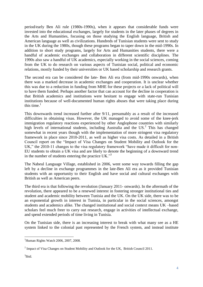period/early Ben Ali rule (1980s-1990s), when it appears that considerable funds were invested into the educational exchanges, largely for students in the later phases of degrees in the Arts and Humanities, focusing on those studying the English language, British and American language as well as civilizations. Hundreds of Tunisian students were sent to study in the UK during the 1980s, though these programs began to taper down in the mid-1990s. In addition to short study programs, largely for Arts and Humanities students, there were a handful of academic exchanges and collaboration in different scientific disciplines. The 1990s also saw a handful of UK academics, especially working in the social sciences, coming from the UK to do research on various aspects of Tunisian social, political and economic relations, mostly funded by their universities or UK based scholarship and research grants.

The second era can be considered the late- Ben Ali era (from mid-1990s onwards), when there was a marked decrease in academic exchanges and cooperation. It is unclear whether this was due to a reduction in funding from MHE for these projects or a lack of political will to have them funded. Perhaps another factor that can account for the decline in cooperation is that British academics and institutions were hesitant to engage with state-run Tunisian institutions because of well-documented human rights abuses that were taking place during this time. $<sup>1</sup>$ </sup>

This downwards trend increased further after 9/11, presumably as a result of the increased difficulties in obtaining visas. However, the UK managed to avoid some of the knee-jerk immigration regulatory reactions experienced by other Anglophone countries with similarly high levels of international students, including Australia and the US.<sup>2</sup> This has changed somewhat in recent years though with the implementation of more stringent visa regulatory framework in place since 2010-2011, as well as higher visa costs. As detailed in a British Council report on the "Impact of Visa Changes on Student Mobility and Outlook for the UK," the 2010-11 changes to the visa regulatory framework "have made it difficult for non-EU students to obtain a UK visa and are likely to denote the beginning of a downward trend in the number of students entering the practice  $UK.^{3}$ .

The Nabeul Language Village, established in 2006, went some way towards filling the gap left by a decline in exchange programmes in the late-Ben Ali era as it provided Tunisian students with an opportunity to their English and have social and cultural exchanges with British as well as American peers.

The third era is that following the revolution (January 2011- onwards). In the aftermath of the revolution, there appeared to be a renewed interest in fostering stronger institutional ties and student and academic mobility between Tunisia and the UK. On the UK side, there was to be an exponential growth in interest in Tunisia, in particular in the social sciences, amongst students and academics alike. The changed institutional and social context means UK –based scholars feel much freer to carry out research, engage in activities of intellectual exchange, and spend extended periods of time living in Tunisia.

On the Tunisian side, there is an increasing interest to break with what many see as a HE system linked to the colonial past represented by the French system, and instead institute

1

<sup>&</sup>lt;sup>1</sup>Human Rights Watch 2006, 2007, 2008.

<sup>&</sup>lt;sup>2</sup> Impact of Visa Changes on Student Mobility and Outlook for the UK, British Council 2011.

<sup>3</sup> Ibid.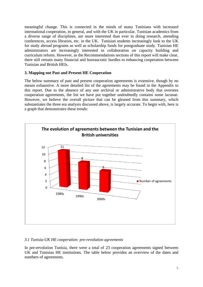meaningful change. This is connected in the minds of many Tunisians with increased international cooperation, in general, and with the UK in particular. Tunisian academics from a diverse range of disciplines, are more interested than ever in doing research, attending conferences, access libraries, etc. in the UK. Tunisian students increasingly look to the UK for study abroad programs as well as scholarship funds for postgraduate study. Tunisian HE administrators are increasingly interested in collaboration on capacity building and curriculum reform. However, as the Recommendations sections of this report will make clear, there still remain many financial and bureaucratic hurdles to enhancing cooperation between Tunisian and British HEIs.

#### **3. Mapping out Past and Present HE Cooperation**

The below summary of past and present cooperation agreements is extensive, though by no means exhaustive. A more detailed list of the agreements may be found in the Appendix to this report. Due to the absence of any one archival or administrative body that oversees cooperation agreements, the list we have put together undoubtedly contains some lacunae. However, we believe the overall picture that can be gleaned from this summary, which substantiates the three era analysis discussed above, is largely accurate. To begin with, here is a graph that demonstrates these trends:



#### *3.1 Tunisia-UK HE cooperation: pre-revolution agreements*

In pre-revolution Tunisia, there were a total of 23 cooperation agreements signed between UK and Tunisian HE institutions. The table below provides an overview of the dates and numbers of agreements.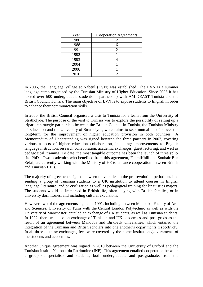| Year | <b>Cooperation Agreements</b> |
|------|-------------------------------|
| 1986 |                               |
| 1988 |                               |
| 1991 |                               |
| 1992 |                               |
| 1993 |                               |
| 2004 |                               |
| 2006 |                               |
| 2010 |                               |

In 2006, the Language Village at Nabeul (LVN) was established. The LVN is a summer language camp organized by the Tunisian Ministry of Higher Education. Since 2006 it has hosted over 600 undergraduate students in partnership with AMIDEAST Tunisia and the British Council Tunisia. The main objective of LVN is to expose students to English in order to enhance their communication skills.

In 2006, the British Council organised a visit to Tunisia for a team from the University of Strathclyde. The purpose of the visit to Tunisia was to explore the possibility of setting up a tripartite strategic partnership between the British Council in Tunisia, the Tunisian Ministry of Education and the University of Strathclyde, which aims to seek mutual benefits over the long-term for the improvement of higher education provision in both countries. A Memorandum of Understanding was signed between the three partners in 2007, covering various aspects of higher education collaboration, including: improvements to English language instruction, research collaboration, academic exchanges, guest lecturing, and well as pedagogical training. To date, the most tangible outcome has been the launch of three splitsite PhDs. Two academics who benefited from this agreement, FahmiKhlil and Souhair Ben Zekri, are currently working with the Ministry of HE to enhance cooperation between British and Tunisian HEIs.

The majority of agreements signed between universities in the pre-revolution period entailed sending a group of Tunisian students to a UK institution to attend courses in English language, literature, and/or civilization as well as pedagogical training for linguistics majors. The students would be immersed in British life, often staying with British families, or in university dormitories, and including cultural excursions.

However, two of the agreements signed in 1991, including between Manouba, Faculty of Arts and Sciences, University of Tunis with the Central London Polytechnic as well as with the University of Manchester, entailed an exchange of UK students, as well as Tunisian students. In 1992, there was also an exchange of Tunisian and UK academics and post-grads as the result of an agreement between Manouba and Birkbeck universities, which entailed the integration of the Tunisian and British scholars into one another's departments respectively. In all three of these exchanges, fees were covered by the home institutions/governments of the students and academics.

Another unique agreement was signed in 2010 between the University of Oxford and the [Tunisian Institut National du Patrimoine](http://www.inp.rnrt.tn/) (INP). This agreement entailed cooperation between a group of specialists and students, both undergraduate and postgraduate, from the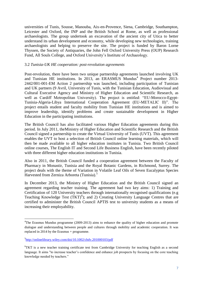universities of Tunis, Sousse, Manouba, Aix-en-Provence, Siena, Cambridge, Southampton, Leicester and Oxford, the INP and the British School at Rome, as well as professional archaeologists. The group undertook an excavation of the ancient city of Utica to better understand its urban development and economy, while developing new technologies, training archaeologists and helping to preserve the site. The project is funded by Baron Lorne Thyssen, the Society of Antiquaries, the John Fell Oxford University Press (OUP) Research Fund, All Souls College, and Oxford University's Institute of Archaeology.

#### 3.2 *Tunisia-UK HE cooperation: post-revolution agreements*

Post-revolution, there have been two unique partnership agreements launched involving UK and Tunisian HE institutions. In 2013, an ERASMUS Mundus<sup>4</sup> Project number 2013-2442/001-001-EM Action 2 partnership was launched, including participation of Tunisian and UK partners (9 Avril, University of Tunis, with the Tunisian Education, Audiovisual and Cultural Executive Agency and Ministry of Higher Education and Scientific Research, as well as Cardiff Metropolitan University). The project is entitled: "EU-Morocco-Egypt-Tunisia-Algeria-Libya International Cooperation Agreement (EU-METALIC II)". The project entails student and faculty mobility from Tunisian HE institutions and is aimed to improve leadership, identify problems and create sustainable development in Higher Education in the participating institutions.

The British Council has also facilitated various Higher Education agreements during this period. In July 2011, theMinistry of Higher Education and Scientific Research and the British Council signed a partnership to create the Virtual University of Tunis (UVT). This agreement enables the UVT to host a selection of British Council online learning materials, which will then be made available to all higher education institutes in Tunisia. Two British Council online courses, The English IT and Second Life Business English, have been recently piloted with three different higher education institutions in Tunisia.

Also in 2011, the British Council funded a cooperation agreement between the Faculty of Pharmacy in Monastir, Tunisia and the Royal Botanic Gardens, in Richmond, Surrey. The project deals with the theme of Variation in Volatile Leaf Oils of Seven Eucalyptus Species Harvested from Zerniza Arboreta (Tunisia).<sup>5</sup>

In December 2013, the Ministry of Higher Education and the British Council signed an agreement regarding teacher training. The agreement had two key aims: 1) Training and Certification of 120 University teachers through internationally recognised qualifications (e.g Teaching Knowledge Test (TKT)<sup>6</sup>); and 2) Creating University Language Centres that are certified to administer the British Council APTIS test to university students as a means of increasing their employability.

 $\overline{a}$ 

<sup>&</sup>lt;sup>4</sup>The Erasmus Mundus programme (2009-2013) aims to enhance the quality of higher education and promote dialogue and understanding between people and cultures through mobility and academic cooperation. It was replaced in 2014 by the Erasmus + programme.

<sup>&</sup>lt;sup>5</sup><http://onlinelibrary.wiley.com/doi/10.1002/cbdv.201000103/pdf>

<sup>6</sup>TKT is a new teacher training certificate test from Cambridge University for teaching English as a second language. It aims "to increase teacher's confidence and enhance job prospects by focusing on the core teaching knowledge needed by teachers."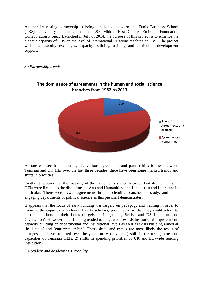Another interesting partnership is being developed between the Tunis Business School (TBS), University of Tunis and the LSE Middle East Centre, Emirates Foundation Collaboration Project. Launched in July of 2014, the purpose of this project is to enhance the didactic capacity of TBS on the level of International Relations teaching at TBS. The project will entail faculty exchanges, capacity building, training and curriculum development support.

#### *3.3Partnership trends*



# **The dominance of agreements in the human and social science branches from 1982 to 2013**

As one can see from perusing the various agreements and partnerships formed between Tunisian and UK HEI over the last three decades, there have been some marked trends and shifts in priorities.

Firstly, it appears that the majority of the agreements signed between British and Tunisian HEIs were limited to the disciplines of Arts and Humanities, and Linguistics and Literature in particular. There were fewer agreements in the scientific branches of study, and none engaging departments of political science as this pie chart demonstrates:

It appears that the focus of early funding was largely on pedagogy and training in order to improve the capacity of individual early scholars, presumably so that they could return to become teachers in their fields (largely in Linguistics, British and US Literature and Civilization). However, later funding tended to be geared towards institutional improvement, capacity building on departmental and institutional levels as well as skills building aimed at 'leadership' and 'entrepreneurship'. These shifts and trends are most likely the result of changes that have occurred over the years on two levels: 1) shift in the needs, aims and capacities of Tunisian HEIs; 2) shifts in spending priorities of UK and EU-wide funding institutions.

## *3.4 Student and academic HE mobility*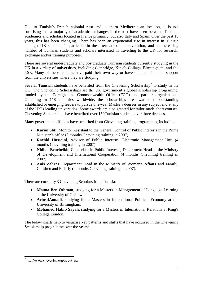Due to Tunisia's French colonial past and southern Mediterranean location, it is not surprising that a majority of academic exchanges in the past have been between Tunisian academics and scholars located in France primarily, but also Italy and Spain. Over the past 15 years, this has been changing. There has been an exponential rise in interest in Tunisia amongst UK scholars, in particular in the aftermath of the revolution, and an increasing number of Tunisian students and scholars interested in travelling to the UK for research, exchange and/or training purposes.

There are several undergraduate and postgraduate Tunisian students currently studying in the UK in a variety of universities, including Cambridge, King's College, Birmingham, and the LSE. Many of these students have paid their own way or have obtained financial support from the universities where they are studying.

Several Tunisian students have benefited from the Chevening Scholarship<sup>7</sup> to study in the UK. The Chevening Scholarships are the UK government's global scholarship programme, funded by the Foreign and Commonwealth Office (FCO) and partner organisations. Operating in 118 countries worldwide, the scholarships are awarded to outstanding established or emerging leaders to pursue one-year Master's degrees in any subject and at any of the UK's leading universities. Some awards are also granted for tailor-made short courses. Chevening Scholarships have benefited over 150Tunisian students over three decades.

Many government officials have benefited from Chevening training programmes, including:

- **Karim Sliti**, Monitor Assistant to the General Control of Public Interests in the Prime Minister's office (3 months Chevining training in 2007).
- **Rachid Hussaini**, Advisor of Public Interests: Electronic Management Unit (4 months Chevining training in 2007).
- **Nidhal Bencheikh**, Counsellor in Public Interests, Department Head in the Ministry of Development and International Cooperation (4 months Chevining training in 2007).
- **Anis Zahraz**, Department Head in the Ministry of Women's Affairs and Family, Children and Elderly (4 months Chevining training in 2007).

There are currently 3 Chevening Scholars from Tunisia:

- **Mouna Ben Othman**, studying for a Masters in Management of Language Learning at the University of Greenwich.
- **AchrafAouadi**, studying for a Masters in International Political Economy at the University of Birmingham.
- **Mohamed Habib Sayah**, studying for a Masters in International Relations at King's College London.

The below charts help to visualise key patterns and shifts that have occurred in the Chevening Scholarship programme over the years:

**<sup>.</sup>** 7 http://www.chevening.org/about\_us/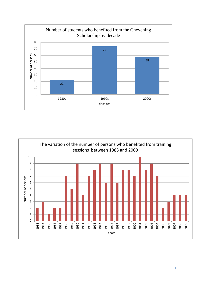

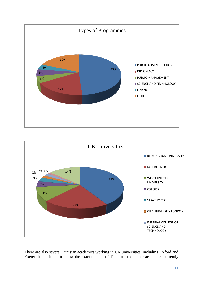



There are also several Tunisian academics working in UK universities, including Oxford and Exeter. It is difficult to know the exact number of Tunisian students or academics currently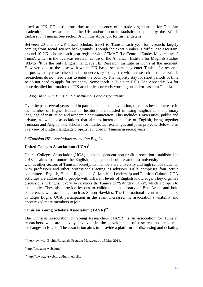based at UK HE institutions due to the absence of a trade organisation for Tunisian academics and researchers in the UK and/or accurate statistics supplied by the British Embassy in Tunisia. See section A.3 in the Appendix for further details.

Between 20 and 30 UK based scholars travel to Tunisia each year for research, largely coming from social science backgrounds. Though the exact number is difficult to ascertain, around 10 UK scholars each year register with CEMAT (Le Centre d'Etudes Maghrébines à Tunis), which is the overseas research centre of the American Institute for Maghrib Studies (AIMS).<sup>8</sup>It is the only English language HE Research Institute in Tunis at the moment. However, due to the ease with which UK based scholars may enter Tunisia for research purposes, many researchers find it unnecessary to register with a research institute. British researchers do not need visas to enter the country. The majority stay for short periods of time so do not need to apply for residency. Some teach in Tunisian HEIs. See Appendix A.4 for more detailed information on UK academics currently working on and/or based in Tunisia.

#### *3.5English in HE: Tunisian HE institutions and associations*

Over the past several years, and in particular since the revolution, there has been a increase in the number of Higher Education Institutions interested in using English as the primary language of instruction and academic communication. This includes Universities, public and private, as well as associations that aim to increase the use of English, bring together Tunisian and Anglophone scholars for intellectual exchanges and joint projects. Below is an overview of English language projects launched in Tunisia in recent years.

## *3.6Tunisian HE associations promoting English*

## **United Colleges Associationn (UCA)<sup>9</sup>**

United Colleges Association (UCA) is an independent non-profit association established in 2013, it aims to promote the English language and culture amongst university students as well as other sectors of Tunisian society. Its members are university and high school students, with professors and other professionals acting as advisors. UCA comprises four active committees: English, Human Rights and Citizenship, Leadership and Political Culture. UCA activities are addressed to people with different levels of English knowledge. They organize discussions in English every week under the banner of "Saturday Talks", which are open to the public. They also provide lessons to children in the library of Ben Arous and hold conferences with academics such as Simon Hawkins. The first national event was launched by Expo Lugha. UCA participation in the event increased the association's visibility and encouraged more members to join.

# **Tunisian Young Scholars Association (TAYR)<sup>10</sup>**

The Tunisian Association of Young Researchers (TAYR) is an association for Tunisian researchers who are actively involved in the development of research and academic exchanges in English.The association aims to: provide a platform for discussing and debating

<sup>&</sup>lt;sup>8</sup> Interview with BrahimRouabah, Program Manager, on 15 May 2014.

<sup>&</sup>lt;sup>9</sup> http://uca.asso-web.com/

<sup>10</sup> http://www.tayrweb.org/#!untitled/cihc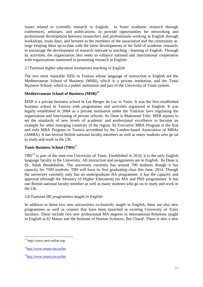issues related to scientific research in English, to foster academic research through conferences, seminars, and publications; to provide opportunities for networking and professional development between researchers and professionals working in English through workshops, study days, and lectures to the members of the association and the community atlarge keeping them up-to-date with the latest developments in the field of academic research; to encourage the development of research relevant to teaching / learning of English. Through its activities, the organization also seeks to enhance national and international cooperation with organizations interested in promoting research in English.

## *3.7Tunisian higher education institutions teaching in English*

The two most reputable HEIs in Tunisia whose language of instruction is English are the Mediterranean School of Business (MSB), which is a private institution, and the Tunis Business School, which is a public institution and part of the University of Tunis system.

# **Mediterranean School of Business (MSB)<sup>11</sup>**

MSB is a private business school in Les Berges du Lac in Tunis. It was the first established business school in Tunisia with programmes and activities organized in English. It was legally established in 2004 as a private institution under the Tunisian laws regulating the organisation and functioning of private schools. Its Dean is Mahmoud Triki. MSB aspires to set the standards of new levels of academic and professional excellence to become an example for other emerging countries of the region. Its Executive MBA Program is the first and only MBA Program in Tunisia accredited by the London-based Association of MBAs (AMBA). It has several British national faculty members as well as many students who go on to study and work in the UK.

## **Tunis Business School (TBS)**<sup>12</sup>

 $TBS^{13}$  is part of the state-run University of Tunis. Established in 2010, it is the only English language faculty in the University. All instruction and assignments are in English. Its Dean is Dr. Salah Benabdallah. The university currently has around 700 students though it has capacity for 7500 students. TBS will have its first graduating class this June, 2014. Though the university currently only has an undergraduate BA programme, it has the capacity and approval (through the Ministry of Higher Education) for MA and PhD programmes. It has one British national faculty member as well as many students who go on to study and work in the UK.

## *3.8 Tunisian HE programmes taught in English*

In addition to these two new universities exclusively taught in English, there are also new programmes as well as courses that have been launched in existing University of Tunis faculties. These include two new professional MA degrees in International Relations taught in English at El Manar and the Institute of Human Sciences, Ibn Charaf. There is also a new

1

 $11$  http://www.msb-online.org/

 $12$ <http://www.utunis.rnu.tn/tbs/>

<sup>13</sup><http://www.utunis.rnu.tn/tbs/>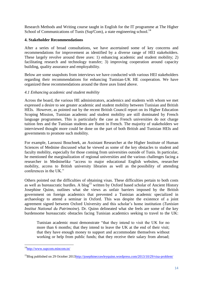Research Methods and Writing course taught in English for the IT programme at The Higher School of Communications of Tunis (Sup'Com), a state engineering school.<sup>14</sup>

#### **4. Stakeholder Recommendations**

After a series of broad consultations, we have ascertained some of key concerns and recommendations for improvement as identified by a diverse range of HEI stakeholders. These largely revolve around three axes: 1) enhancing academic and student mobility; 2) facilitating research and technology transfer; 3) improving cooperation around capacity building, quality assurance and employability.

Below are some snapshots from interviews we have conducted with various HEI stakeholders regarding their recommendations for enhancing Tunisian-UK HE cooperation. We have organized these recommendations around the three axes listed above.

#### *4.1 Enhancing academic and student mobility*

Across the board, the various HE administrators, academics and students with whom we met expressed a desire to see greater academic and student mobility between Tunisian and British HEIs. However, as pointed out by the recent British Council report on its Higher Education Scoping Mission, Tunisian academic and student mobility are still dominated by French language programmes. This is particularly the case as French universities do not charge tuition fees and the Tunisian students are fluent in French. The majority of stakeholders we interviewed thought more could be done on the part of both British and Tunisian HEIs and governments to promote such mobility.

For example, Laroussi Bouchnek, an Assistant Researcher at the Higher Institute of Human Sciences of Mednine discussed what he viewed as some of the key obstacles to student and faculty mobility, especially for those coming from universities outside of Tunis. In particular, he mentioned the marginalization of regional universities and the various challenges facing a researcher in Medninelike "access to major educational English websites, researcher mobility, access to British university libraries as well as the possibility of attending conferences in the UK."

Others pointed out the difficulties of obtaining visas. These difficulties pertain to both costs as well as bureaucratic hurdles. A blog<sup>15</sup> written by Oxford based scholar of Ancient History Josephine Quinn, outlines what she views as unfair barriers imposed by the British government on foreign academics that prevented a Tunisian academic specialized in archaeology to attend a seminar in Oxford. This was despite the existence of a joint agreement signed between Oxford University and this scholar's home institution (*Tunisian Institut National du Patrimoine*). Dr. Quinn delineated what she feels are some of the key burdensome bureaucratic obstacles facing Tunisian academics seeking to travel to the UK:

Tunisian academic must demonstrate "that they intend to visit the UK for no more than 6 months; that they intend to leave the UK at the end of their visit; that they have enough money to support and accommodate themselves without working or help from public funds; that they receive their salary from abroad;

 $\overline{a}$ <sup>14</sup><http://www.supcom.mincom.tn/>

<sup>&</sup>lt;sup>15</sup>Blog published on 29 October 201[3http://josephinecrawleyquinn.wordpress.com/2013/10/29/visa-problem/](http://josephinecrawleyquinn.wordpress.com/2013/10/29/visa-problem/)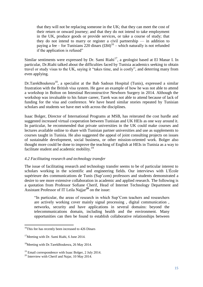that they will not be replacing someone in the UK; that they can meet the cost of their return or onward journey; and that they do not intend to take employment in the UK, produce goods or provide services, or take a course of study; that they do not intend to marry or register a civil partnership — in addition to paying a fee – for Tunisians 220 dinars  $(\text{\pounds}84)^{16}$  – which naturally is not refunded if the application is refused"

Similar sentiments were expressed by Dr. Sami Riahi<sup>17</sup>, a geologist based at El Manar I. In particular, Dr.Riahi talked about the difficulties faced by Tunisia academics seeking to obtain travel or study visas to the UK, saying it "takes time, and is costly", and deterring many from even applying.

Dr.TarekBoukesra<sup>18</sup>, a specialist at the Bab Sadoun Hospital (Tunis), expressed a similar frustration with the British visa system. He gave an example of how he was not able to attend a workshop in Bolton on Intestinal Reconstructive Newborn Surgery in 2014. Although the workshop was invaluable to his future career, Tarek was not able to attend because of lack of funding for the visa and conference. We have heard similar stories repeated by Tunisian scholars and students we have met with across the disciplines.

Isaac Bolger, Director of International Programs at MSB, has reiterated the cost hurdle and suggested increased virtual cooperation between Tunisian and UK HEIs as one way around it. In particular, he recommended that private universities in the UK could make courses and lectures available online to share with Tunisian partner universities and use as supplements to courses taught in Tunisia. He also suggested the appeal of joint consulting projects on issues of sustainable development, social business, or other mission-oriented work. Bolger also thought more could be done to improve the teaching of English at HEIs in Tunisia as a way to facilitate student and academic mobility.<sup>19</sup>

#### *4.2 Facilitating research and technology transfer*

The issue of facilitating research and technology transfer seems to be of particular interest to scholars working in the scientific and engineering fields. Our interviews with L'École supérieure des communications de Tunis (Sup'com) professors and students demonstrated a desire to see more extensive collaboration in academic and applied research. The following is a quotation from Professor Sofiane Cherif, Head of Internet Technology Department and Assistant Professor of IT Leila Najjar**<sup>20</sup>** on the issue:

"In particular, the areas of research in which Sup'Com teachers and researchers are actively working cover mainly signal processing , digital communication , networks, security and have applications in several domains: beyond the telecommunications domain, including health and the environment. Many opportunities can then be found to establish collaborative relationships between

**.** 

<sup>&</sup>lt;sup>16</sup>This fee has recently been increased to 426 Dinars

<sup>&</sup>lt;sup>17</sup>Meeting with Dr. Sami Riahi, 6 June 2014.

<sup>&</sup>lt;sup>18</sup>Meeting with Dr.TarekBoukesra, 26 May 2014.

<sup>19</sup> Email correspondence with Isaac Bolger, 2 July 2014.

<sup>&</sup>lt;sup>20</sup> Interview with Cherif and Najar, 10 May 2014.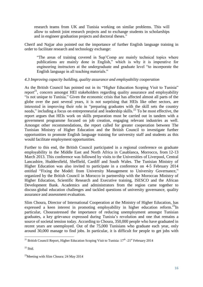research teams from UK and Tunisia working on similar problems. This will allow to submit joint research projects and to exchange students in scholarships and in engineer graduation projects and doctoral theses."

Cherif and Najjar also pointed out the importance of further English language training in order to facilitate research and technology exchange:

"The areas of training covered in Sup'Comp are mainly technical topics where publications are mainly done in English," which is why it is imperative for engineering instructors at the undergraduate and graduate level "to incorporate the English language in all teaching materials."

#### *4.3 Improving capacity building, quality assurance and employability cooperation*

As the British Council has pointed out in its "Higher Education Scoping Visit to Tunisia" report<sup>21</sup>, concern amongst HEI stakeholders regarding quality assurance and employability "is not unique to Tunisia." Given the economic crisis that has affected almost all parts of the globe over the past several years, it is not surprising that HEIs like other sectors, are interested in improving their role in "preparing graduates with the skill sets the country needs," including a focus on entrepreneurial and leadership skills.<sup>22</sup> To be most effective, the report argues that HEIs work on skills preparation must be carried out in tandem with a government programme focused on job creation, engaging relevant industries as well. Amongst other recommendations, the report called for greater cooperation between The Tunisian Ministry of Higher Education and the British Council to investigate further opportunities to promote English language training for university staff and students as this would facilitate employment opportunities.

Further to this end, the British Council participated in a regional conference on graduate employability in the Middle East and North Africa in Casablanca, Morrocco, from 12-13 March 2013. This conference was followed by visits to the Universities of Liverpool, Central Lancashire, Huddersfield, Sheffield, Cardiff and South Wales. The Tunisian Ministry of Higher Education was also invited to participate in a conference on 4-5 February 2014 entitled "Fixing the Model: from University Management to University Governance," organized by the British Council in Morocco in partnership with the Moroccan Ministry of Higher Education, Scientific Research and Executive training, ISESCO and the African Development Bank. Academics and administrators from the region came together to discuss global education challenges and tackled questions of university governance, quality assurance and assessment evaluation.

Slim Choura, Director of International Cooperation at the Ministry of Higher Education, has expressed a keen interest in promoting employability in higher education reform.<sup>23</sup>In particular, Chourastressed the importance of reducing unemployment amongst Tunisian graduates, a key grievance expressed during Tunisia's revolution and one that remains a source of societal tension today. According to Choura, 350,000 people who have graduated in recent years are unemployed. Out of the 75,000 Tunisians who graduate each year, only around 30,000 manage to find jobs. In particular, it is difficult for people to get jobs with

1

<sup>&</sup>lt;sup>21</sup> British Council Report, Higher Education Scoping Visit to Tunisia:  $17<sup>th</sup>$  -21<sup>st</sup> February 2014

 $22$  Ibid.

<sup>&</sup>lt;sup>23</sup>Meeting with Slim Choura: 24 May 2014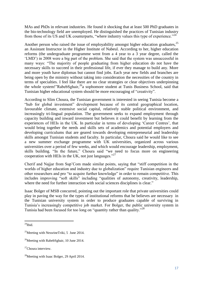MAs and PhDs in relevant industries. He found it shocking that at least 500 PhD graduates in the bio-technology field are unemployed. He distinguished the practices of Tunisian industry from those of its US and UK counterparts, "where industry values this type of experience."<sup>24</sup>

Another person who raised the issue of employability amongst higher education graduates,<sup>25</sup> an Assistant Instructor in the Higher Institute of Nabeul. According to her, higher education reforms (the undergraduate programme went from a 4 year to a 3 year degree, called the 'LMD') in 2008 were a big part of the problem. She said that the system was unsuccessful in many ways: "The majority of people graduating from higher education do not have the necessary skills to succeed in their professional life, if ever they manage to build any. More and more youth have diplomas but cannot find jobs. Each year new fields and branches are being open by the ministry without taking into consideration the necessities of the country in terms of specialties. I feel like there are no clear strategies or clear objectives underpinning the whole system!"RabebSghair, <sup>26</sup>a sophomore student at Tunis Business School, said that Tunisian higher educational system should be more encouraging of "creativity".

According to Slim Choura, the Tunisian government is interested in seeing Tunisia become a "hub for global investment" development because of its central geographical location, favourable climate, extensive social capital, relatively stable political environment, and increasingly tri-lingual population. The government seeks to expand employment through capacity building and inward investment but believes it could benefit by learning from the experiences of HEIs in the UK. In particular in terms of developing 'Career Centres', that would bring together the needs and skills sets of academics and potential employers and developing curriculums that are geared towards developing entrepreneurial and leadership skills amongst Tunisian students and faculty. In particular, Choura said he would like to see a new summer exchange programme with UK universities, organized across various universities over a period of few weeks, and which would encourage leadership, employment, skills building. "In the future," Choura said "we need to focus more on engineering cooperation with HEIs in the UK, not just languages. $^{27}$ 

Cherif and Najjar from Sup'Com made similar points, saying that "stiff competition in the worlds of higher education and industry due to globalization" require Tunisian engineers and other researchers and pro "to acquire further knowledge" in order to remain competitive. This includes improving "soft skills" including "qualities of autonomy, creativity, leadership, where the need for further interaction with social sciences disciplines is clear."

Isaac Bolger of MSB concurred, pointing out the important role that private universities could play in paving the way for the types of institutional reforms that he believes are necessary in the Tunisian university system in order to produce graduates capable of surviving in Tunisia's increasingly competitive job market. For Bolger, the public university system in Tunisia had been focused for too long on "quantity rather than quality."<sup>28</sup>

 $\overline{a}$  $^{24}$ Ibid.

<sup>&</sup>lt;sup>25</sup>Meeting with NessrineTriki, 5 June 2014.

<sup>&</sup>lt;sup>26</sup>Meeting with RabebSghair, 10 June 2014.

<sup>&</sup>lt;sup>27</sup>Choura interview.

<sup>&</sup>lt;sup>28</sup>Meeting with Isaac Bolger, 29 April 2014.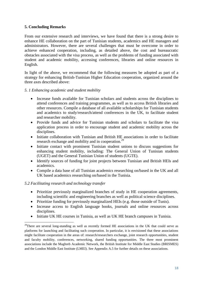## **5. Concluding Remarks**

From our extensive research and interviews, we have found that there is a strong desire to enhance HE collaboration on the part of Tunisian students, academics and HE managers and administrators. However, there are several challenges that must be overcome in order to achieve enhanced cooperation, including, as detailed above, the cost and bureaucratic obstacles associated with the visa process, as well as the problems of funding associated with student and academic mobility, accessing conferences, libraries and online resources in English.

In light of the above, we recommend that the following measures be adopted as part of a strategy for enhancing British-Tunisian Higher Education cooperation, organized around the three axes described above:

## *5. 1 Enhancing academic and student mobility*

- Increase funds available for Tunisian scholars and students across the disciplines to attend conferences and training programmes, as well as to access British libraries and other resources. Compile a database of all available scholarships for Tunisian students and academics to study/research/attend conferences in the UK, to facilitate student and researcher mobility.
- Provide funds and advice for Tunisian students and scholars to facilitate the visa application process in order to encourage student and academic mobility across the disciplines.
- Initiate collaboration with Tunisian and British HE associations in order to facilitate research exchange and mobility and in cooperation.<sup>29</sup>
- Initiate contact with prominent Tunisian student unions to discuss suggestions for enhancing student mobility, including: The General Union of Tunisian students (UGET) and the General Tunisian Union of students (UGTE).
- Identify sources of funding for joint projects between Tunisian and British HEIs and academics.
- Compile a data base of all Tunisian academics researching on/based in the UK and all UK based academics researching on/based in the Tunisia.

## *5.2 Facilitating research and technology transfer*

1

- Prioritize previously marginalized branches of study in HE cooperation agreements, including scientific and engineering branches as well as political science disciplines.
- Prioritize funding for previously marginalized HEIs (e.g. those outside of Tunis).
- Increase access to English language books, journals and online resources across disciplines.
- Initiate UK HE courses in Tunisia, as well as UK HE branch campuses in Tunisia.

 $29$ There are several long-standing as well as recently formed HE associations in the UK that could serve as platforms for launching and facilitating such cooperation. In particular, it is envisioned that these associations might facilitate cooperation in the areas of: research/researchers exchange, joint research opportunities, student and faculty mobility, conferences, networking, shared funding opportunities. The three most prominent associations include the Maghreb Academic Network, the British Institute for Middle East Studies (BRISMES) and the London Middle East Institute (LMEI). See Appendix A.5 for further details on these associations.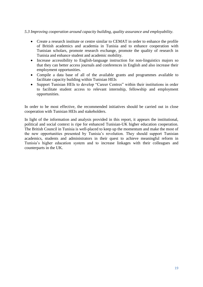#### *5.3 Improving cooperation around capacity building, quality assurance and employability.*

- Create a research institute or centre similar to CEMAT in order to enhance the profile of British academics and academia in Tunisia and to enhance cooperation with Tunisian scholars, promote research exchange, promote the quality of research in Tunisia and enhance student and academic mobility.
- Increase accessibility to English-language instruction for non-linguistics majors so that they can better access journals and conferences in English and also increase their employment opportunities.
- Compile a data base of all of the available grants and programmes available to facilitate capacity building within Tunisian HEIs
- Support Tunisian HEIs to develop "Career Centres" within their institutions in order to facilitate student access to relevant internship, fellowship and employment opportunities.

In order to be most effective, the recommended initiatives should be carried out in close cooperation with Tunisian HEIs and stakeholders.

In light of the information and analysis provided in this report, it appears the institutional, political and social context is ripe for enhanced Tunisian-UK higher education cooperation. The British Council in Tunisia is well-placed to keep up the momentum and make the most of the new opportunities presented by Tunisia's revolution. They should support Tunisian academics, students and administrators in their quest to achieve meaningful reform in Tunisia's higher education system and to increase linkages with their colleagues and counterparts in the UK.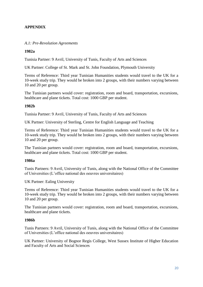# **APPENDIX**

## *A.1: Pre-Revolution Agreements*

## **1982a**

Tunisia Partner: 9 Avril, University of Tunis, Faculty of Arts and Sciences

UK Partner: College of St. Mark and St. John Foundation, Plymouth University

Terms of Reference: Third year Tunisian Humanities students would travel to the UK for a 10-week study trip. They would be broken into 2 groups, with their numbers varying between 10 and 20 per group.

The Tunisian partners would cover: registration, room and board, transportation, excursions, healthcare and plane tickets. Total cost: 1000 GBP per student.

#### **1982b**

Tunisia Partner: 9 Avril, University of Tunis, Faculty of Arts and Sciences

UK Partner: University of Sterling, Centre for English Language and Teaching

Terms of Reference: Third year Tunisian Humanities students would travel to the UK for a 10-week study trip. They would be broken into 2 groups, with their numbers varying between 10 and 20 per group.

The Tunisian partners would cover: registration, room and board, transportation, excursions, healthcare and plane tickets. Total cost: 1000 GBP per student.

#### **1986a**

Tunis Partners: 9 Avril, University of Tunis, along with the National Office of the Committee of Universities (L'office national des oeuvres universitaires)

UK Partner: Ealing University

Terms of Reference: Third year Tunisian Humanities students would travel to the UK for a 10-week study trip. They would be broken into 2 groups, with their numbers varying between 10 and 20 per group.

The Tunisian partners would cover: registration, room and board, transportation, excursions, healthcare and plane tickets.

#### **1986b**

Tunis Partners: 9 Avril, University of Tunis, along with the National Office of the Committee of Universities (L'office national des oeuvres universitaires)

UK Partner: University of Bognor Regis College, West Sussex Institute of Higher Education and Faculty of Arts and Social Sciences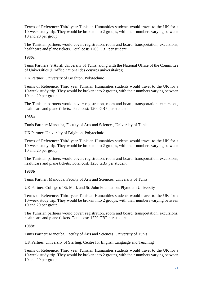Terms of Reference: Third year Tunisian Humanities students would travel to the UK for a 10-week study trip. They would be broken into 2 groups, with their numbers varying between 10 and 20 per group.

The Tunisian partners would cover: registration, room and board, transportation, excursions, healthcare and plane tickets. Total cost: 1200 GBP per student.

## **1986c**

Tunis Partners: 9 Avril, University of Tunis, along with the National Office of the Committee of Universities (L'office national des oeuvres universitaires)

UK Partner: University of Brighton, Polytechnic

Terms of Reference: Third year Tunisian Humanities students would travel to the UK for a 10-week study trip. They would be broken into 2 groups, with their numbers varying between 10 and 20 per group.

The Tunisian partners would cover: registration, room and board, transportation, excursions, healthcare and plane tickets. Total cost: 1200 GBP per student.

#### **1988a**

Tunis Partner: Manouba, Faculty of Arts and Sciences, University of Tunis

UK Partner: University of Brighton, Polytechnic

Terms of Reference: Third year Tunisian Humanities students would travel to the UK for a 10-week study trip. They would be broken into 2 groups, with their numbers varying between 10 and 20 per group.

The Tunisian partners would cover: registration, room and board, transportation, excursions, healthcare and plane tickets. Total cost: 1230 GBP per student.

#### **1988b**

Tunis Partner: Manouba, Faculty of Arts and Sciences, University of Tunis

UK Partner: College of St. Mark and St. John Foundation, Plymouth University

Terms of Reference: Third year Tunisian Humanities students would travel to the UK for a 10-week study trip. They would be broken into 2 groups, with their numbers varying between 10 and 20 per group.

The Tunisian partners would cover: registration, room and board, transportation, excursions, healthcare and plane tickets. Total cost: 1220 GBP per student.

#### **1988c**

Tunis Partner: Manouba, Faculty of Arts and Sciences, University of Tunis

UK Partner: University of Sterling: Centre for English Language and Teaching

Terms of Reference: Third year Tunisian Humanities students would travel to the UK for a 10-week study trip. They would be broken into 2 groups, with their numbers varying between 10 and 20 per group.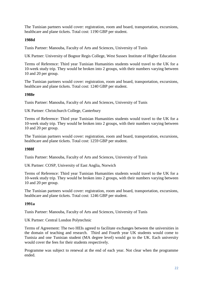The Tunisian partners would cover: registration, room and board, transportation, excursions, healthcare and plane tickets. Total cost: 1190 GBP per student.

## **1988d**

Tunis Partner: Manouba, Faculty of Arts and Sciences, University of Tunis

UK Partner: University of Bognor Regis College, West Sussex Institute of Higher Education

Terms of Reference: Third year Tunisian Humanities students would travel to the UK for a 10-week study trip. They would be broken into 2 groups, with their numbers varying between 10 and 20 per group.

The Tunisian partners would cover: registration, room and board, transportation, excursions, healthcare and plane tickets. Total cost: 1240 GBP per student.

#### **1988e**

Tunis Partner: Manouba, Faculty of Arts and Sciences, University of Tunis

UK Partner: Christchurch College, Canterbury

Terms of Reference: Third year Tunisian Humanities students would travel to the UK for a 10-week study trip. They would be broken into 2 groups, with their numbers varying between 10 and 20 per group.

The Tunisian partners would cover: registration, room and board, transportation, excursions, healthcare and plane tickets. Total cost: 1259 GBP per student.

#### **1988f**

Tunis Partner: Manouba, Faculty of Arts and Sciences, University of Tunis

UK Partner: COSP, University of East Anglia, Norwich

Terms of Reference: Third year Tunisian Humanities students would travel to the UK for a 10-week study trip. They would be broken into 2 groups, with their numbers varying between 10 and 20 per group.

The Tunisian partners would cover: registration, room and board, transportation, excursions, healthcare and plane tickets. Total cost: 1246 GBP per student.

#### **1991a**

Tunis Partner: Manouba, Faculty of Arts and Sciences, University of Tunis

UK Partner: Central London Polytechnic

Terms of Agreement: The two HEIs agreed to facilitate exchanges between the universities in the domain of teaching and research. Third and Fourth year UK students would come to Tunisia and one Tunisian student (MA degree level) would go to the UK. Each university would cover the fees for their students respectively.

Programme was subject to renewal at the end of each year. Not clear when the programme ended.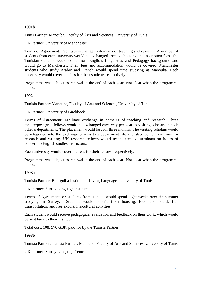## **1991b**

Tunis Partner: Manouba, Faculty of Arts and Sciences, University of Tunis

UK Partner: University of Manchester

Terms of Agreement: Facilitate exchange in domains of teaching and research. A number of students from each university would be exchanged- receive housing and inscription fees. The Tunisian students would come from English, Linguistics and Pedagogy background and would go to Manchester. Their fees and accommodation would be covered. Manchester students who study Arabic and French would spend time studying at Manouba. Each university would cover the fees for their students respectively.

Programme was subject to renewal at the end of each year. Not clear when the programme ended.

## **1992**

Tunisia Partner: Manouba, Faculty of Arts and Sciences, University of Tunis

UK Partner: University of Birckbeck

Terms of Agreement: Facilitate exchange in domains of teaching and research. Three faculty/post-grad fellows would be exchanged each way per year as visiting scholars in each other's departments. The placement would last for three months. The visiting scholars would be integrated into the exchange university's department life and also would have time for research and writing. UK research fellows would teach intensive seminars on issues of concern to English studies instructors.

Each university would cover the fees for their fellows respectively.

Programme was subject to renewal at the end of each year. Not clear when the programme ended.

#### **1993a**

Tunisia Partner: Bourguiba Institute of Living Languages, University of Tunis

UK Partner: Surrey Language institute

Terms of Agreement: 87 students from Tunisia would spend eight weeks over the summer studying in Surrey. Students would benefit from housing, food and board, free transportation, and free excursions/cultural activities.

Each student would receive pedagogical evaluation and feedback on their work, which would be sent back to their institute.

Total cost: 108, 576 GBP, paid for by the Tunisia Partner.

#### **1993b**

Tunisia Partner: Tunisia Partner: Manouba, Faculty of Arts and Sciences, University of Tunis

UK Partner: Surrey Language Centre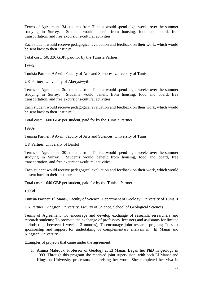Terms of Agreement: 34 students from Tunisia would spend eight weeks over the summer studying in Surrey. Students would benefit from housing, food and board, free transportation, and free excursions/cultural activities.

Each student would receive pedagogical evaluation and feedback on their work, which would be sent back to their institute.

Total cost: 50, 320 GBP, paid for by the Tunisia Partner.

## **1993c**

Tunisia Partner: 9 Avril, Faculty of Arts and Sciences, University of Tunis

UK Partner: University of Aberystwyth

Terms of Agreement: 3o students from Tunisia would spend eight weeks over the summer studying in Surrey. Students would benefit from housing, food and board, free transportation, and free excursions/cultural activities.

Each student would receive pedagogical evaluation and feedback on their work, which would be sent back to their institute.

Total cost: 1600 GBP per student, paid for by the Tunisia Partner.

## **1993e**

Tunisia Partner: 9 Avril, Faculty of Arts and Sciences, University of Tunis

UK Partner: University of Bristol

Terms of Agreement: 30 students from Tunisia would spend eight weeks over the summer studying in Surrey. Students would benefit from housing, food and board, free transportation, and free excursions/cultural activities.

Each student would receive pedagogical evaluation and feedback on their work, which would be sent back to their institute.

Total cost: 1640 GBP per student, paid for by the Tunisia Partner.

## **1993d**

Tunisia Partner: El Manar, Faculty of Science, Department of Geology, University of Tunis II

UK Partner: Kingston University, Faculty of Science, School of Geological Sciences

Terms of Agreement: To encourage and develop exchange of research, researchers and research students; To promote the exchange of professors, lecturers and assistants for limited periods (e.g. between 1 week – 3 months); To encourage joint research projects; To seek sponsorship and support for undertaking of complementary analysis in El Manar and Kingston University.

Examples of projects that came under the agreement:

1. Amina Mabrouk, Professor of Geology at El Manar. Began her PhD in geology in 1993. Through this program she received joint supervision, with both El Manar and Kingston University professors supervising her work. She completed her viva in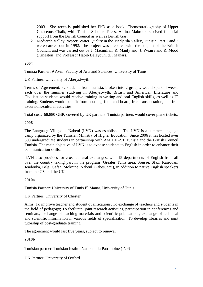2003. She recently published her PhD as a book: Chemostratiography of Upper Cetaceous Chalk, with Tunisia Scholars Press. Amina Mabrouk received financial support from the British Council as well as British Gas.

2. Medjerda Valley Project: Water Quality in the Medjerda Valley, Tunisia. Part 1 and 2 were carried out in 1992. The project was prepared with the support of the British Council, and was carried out by J. Macmillan, R. Manly and J. Weaire and R. Mood (Kingston) and Professor Habib Belayouni (El Manar).

## **2004**

Tunisia Partner: 9 Avril, Faculty of Arts and Sciences, University of Tunis

UK Partner: University of Aberystwyth

Terms of Agreement: 82 students from Tunisia, broken into 2 groups, would spend 4 weeks each over the summer studying in Aberystwyth. British and American Literature and Civilisation students would receive training in writing and oral English skills, as well as IT training. Students would benefit from housing, food and board, free transportation, and free excursions/cultural activities.

Total cost: 68,880 GBP, covered by UK partners. Tunisia partners would cover plane tickets.

#### **2006**

The Language Village at Nabeul (LVN) was established. The LVN is a summer language camp organized by the Tunisian Ministry of Higher Education. Since 2006 it has hosted over 600 undergraduate students in partnership with AMIDEAST Tunisia and the British Council Tunisia. The main objective of LVN is to expose students to English in order to enhance their communication skills.

LVN also provides for cross-cultural exchanges, with 15 departments of English from all over the country taking part in the program (Greater Tunis area, Sousse, Sfax, Kairouan, Jendouba, Béja, Gafsa, Moknine, Nabeul, Gabes, etc.), in addition to native English speakers from the US and the UK.

## **2010a**

Tunisia Partner: University of Tunis El Manar, University of Tunis

UK Partner: University of Chester

Aims: To improve teacher and student qualifications; To exchange of teachers and students in the field of pedagogy; To facilitate: joint research activities, participation in conferences and seminars, exchange of teaching materials and scientific publications, exchange of technical and scientific information in various fields of specialization; To develop libraries and joint tutorship of post-graduate training.

The agreement would last five years, subject to renewal

## **2010b**

Tunisian partner: [Tunisian Institut National du Patrimoine](http://www.inp.rnrt.tn/) (INP)

UK Partner: [University of Oxford](http://www.classics.ox.ac.uk/)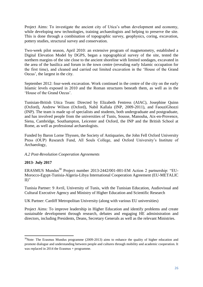Project Aims: To investigate the ancient city of Utica's urban development and economy, while developing new technologies, training archaeologists and helping to preserve the site. This is done through a combination of topographic survey, geophysics, coring, excavation, pottery studies, structural survey and conservation.

Two-week pilot season, April 2010: an extensive program of magnetometry, established a Digital Elevation Model by DGPS, began a topographical survey of the site, tested the northern margins of the site close to the ancient shoreline with limited sondages, excavated in the area of the basilica and forum in the town centre (revealing early Islamic occupation for the first time), and cleaned and carried out limited excavation in the 'House of the Grand Oecus', the largest in the city.

September 2012: four-week excavation. Work continued in the centre of the city on the early Islamic levels exposed in 2010 and the Roman structures beneath them, as well as in the 'House of the Grand Oecus'.

Tunisian-British Utica Team: Directed by Elizabeth Fentress (AIAC), Josephine Quinn (Oxford), Andrew Wilson (Oxford), Nabil Kallala (INP, 2009-2011), and FaouziGhozzi (INP). The team is made up of specialists and students, both undergraduate and postgraduate, and has involved people from the universities of Tunis, Sousse, Manouba, Aix-en-Provence, Siena, Cambridge, Southampton, Leicester and Oxford, the INP and the British School at Rome, as well as professional archaeologists.

Funded by Baron Lorne Thyssen, the Society of Antiquaries, the John Fell Oxford University Press (OUP) Research Fund, All Souls College, and Oxford University's Institute of Archaeology,

## *A.2 Post-Revolution Cooperation Agreements*

## **2013- July 2017**

**.** 

ERASMUS Mundus<sup>30</sup> Project number 2013-2442/001-001-EM Action 2 partnership: "EU-Morocco-Egypt-Tunisia-Algeria-Libya International Cooperation Agreement (EU-METALIC II)"

Tunisia Partner: 9 Avril, University of Tunis, with the Tunisian Education, Audiovisual and Cultural Executive Agency and Ministry of Higher Education and Scientific Research

UK Partner: Cardiff Metropolitan University (along with various EU universities)

Project Aims: To improve leadership in Higher Education and identify problems and create sustainable development through research, debates and engaging HE administration and directors, including Presidents, Deans, Secretary Generals as well as the relevant Ministries.

 $30$ Note: The Erasmus Mundus programme (2009-2013) aims to enhance the quality of higher education and promote dialogue and understanding between people and cultures through mobility and academic cooperation. It was replaced in 2014 the Erasmus + programme.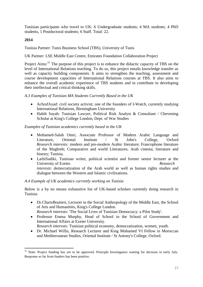Tunisian participants who travel to UK: 6 Undergraduate students; 4 MA students; 4 PhD students, 1 Postdoctoral students; 6 Staff. Total: 22.

## **2014**

**.** 

Tunisia Partner: Tunis Business School (TBS), University of Tunis

UK Partner: LSE Middle East Centre, Emirates Foundation Collaboration Project

Project Aims:<sup>31</sup> The purpose of this project is to enhance the didactic capacity of TBS on the level of International Relations teaching. To do so, this project entails knowledge transfer as well as capacity building components. It aims to strengthen the teaching, assessment and course development capacities of International Relations courses at TBS. It also aims to enhance the overall academic experience of TBS students and to contribute to developing their intellectual and critical thinking skills.

*A.3 Examples of Tunisian MA Students Currently Based in the UK*

- AchrafAyad: civil society activist; one of the founders of I-Watch, currently studying International Relations, Birmingham University
- Habib Sayah: Tunisian Lawyer, Political Risk Analyst & Consultant / Chevening Scholar at King's College London, Dept. of War Studies

## *Examples of Tunisian academics currently based in the UK*

- Mohamed-Salah Omri, Associate Professor of Modern Arabic Language and Literature, [Oriental Institute](http://www.orinst.ox.ac.uk/) / [St John's College,](http://www.sjc.ox.ac.uk/) Oxford *Research interests:* modern and pre-modern Arabic literature; Francophone literature of the Maghreb; Comparative and world Literatures; Arab cinema; literature and history; Tunisia.
- LarbiSadiki, [Tunisian](http://en.wikipedia.org/wiki/Tunisia) writer, political scientist and former senior lecturer at the University of Exeter. *Research interests*: democratization of the Arab world as well as human rights studies and dialogue between the Western and Islamic civilizations.

## *A.4 Example of UK academics currently working on Tunisia*

Below is a by no means exhaustive list of UK-based scholars currently doing research in Tunisia:

 Dr.CharisBoutieri, Lecturer in the Social Anthropology of the Middle East, the School of Arts and Humanities, King's College London.

*Research interests:* 'The Social Lives of Tunisian Democracy: a Pilot Study'.

 Professor Emma Murphy, Head of School in the [School of Government and](https://www.dur.ac.uk/sgia/)  [International Affairs](https://www.dur.ac.uk/sgia/) at Exeter University.

*Research interests:* Tunisian political economy, democratization, women, youth.

 Dr. Michael Willis, Research Lecturer and King Mohamed VI Fellow in Moroccan and Mediterranean Studies, [Oriental Institute](http://www.orinst.ox.ac.uk/) / [St Antony's College,](http://www.sant.ox.ac.uk/) Oxford.

<sup>&</sup>lt;sup>31</sup> Note: Project funding has yet to be approved. Principle Investigators waiting for decision in early July. Response so far from funders has been positive.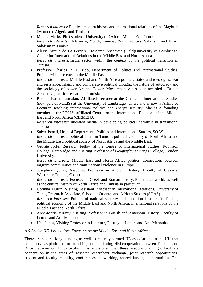*Research interests*: Politics, modern history and international relations of the Maghreb (Morocco, Algeria and Tunisia)

- Monica Marks, PhD student, [University of Oxford,](http://oxford.academia.edu/) [Middle East Centre,](http://oxford.academia.edu/Departments/Middle_East_Center) *Research interests*: [Islamism,](http://www.academia.edu/Documents/in/Islamism) [Youth,](http://www.academia.edu/Documents/in/Youth) [Tunisia,](http://www.academia.edu/Documents/in/Tunisia) [Youth Politics,](http://www.academia.edu/Documents/in/Youth_Politics) [Salafism,](http://www.academia.edu/Documents/in/Salafism) and [Jihadi](http://www.academia.edu/Documents/in/Jihadi_Salafism)  [Salafism](http://www.academia.edu/Documents/in/Jihadi_Salafism) in Tunisia.
- Alexis Artaud de La Ferriere, Research Associate (Field[\)University of Cambridge,](http://uk.linkedin.com/company/university-of-cambridge?trk=ppro_cprof)  [Centre for International Relations in the Middle East and North Africa](http://uk.linkedin.com/company/university-of-cambridge?trk=ppro_cprof) *Research interests:*media sector within the context of the political transition in Tunisia.
- Professor Charles R H Tripp, [Department of Politics and International Studies,](http://www.soas.ac.uk/politics/) Politics with reference to the Middle East *Research interests:* Middle East and North Africa politics, states and ideologies, war and resistance, Islamic and comparative political thought, the nature of autocracy and the sociology of power Art and Power. Most recently has been awarded a British Academy grant for research in Tunisia.
- Roxane Farmanfarmaian, Affiliated Lecturer at the Centre of International Studies (now part of POLIS) at the University of Cambridge- where she is now a Affiliated Lecturer, teaching international politics and energy security, She is a founding member of the POLIS- affiliated Centre for the International Relations of the Middle East and North Africa (CIRMENA).

*Research interests:* liberated media in developing political narrative in transitional Tunisia.

- Salwa Ismail, Head of Department, [Politics and International Studies,](http://www.soas.ac.uk/politics/) SOAS *Research interests*: political Islam in Tunisia, political economy of North Africa and the Middle East, political society of North Africa and the Middle East.
- George Joffe, Research Fellow at the Centre of International Studies, Robinson College, Cambridge and Visiting Professor of Geography at Kings College, London University.

*Research interests:* Middle East and North Africa politics, connections between migrant communities and trans/national violence in Europe.

- Josephine Quinn, Associate Professor in Ancient History**,** Faculty of Classics, Worcester College, Oxford. *Research interests:* Focuses on Greek and Roman history, Phoenician world, as well as the cultural history of North Africa and Tunisia in particular.
- Corinna Mullin, Visiting Assistant Professor in International Relations, University of Tunis, Research Associate, School of Oriental and African Studies (SOAS). *Research interests:* Politics of national security and transitional justice in Tunisia, political economy of the Middle East and North Africa, international relations of the Middle East and North Africa.
- Anne-Marie Murray, Visiting Professor in British and American History, Faculty of Letters and Arts Manouba.
- Neil Jones, Visiting Professor in Literture, Faculty of Letters and Arts Manouba

# *A.5 British HE Associations Focusing on the Middle East and North Africa*

There are several long-standing as well as recently formed HE associations in the UK that could serve as platforms for launching and facilitating HEI cooperation between Tunisian and British academics. In particular, it is envisioned that these associations might facilitate cooperation in the areas of: research/researchers exchange, joint research opportunities, student and faculty mobility, conferences, networking, shared funding opportunities. The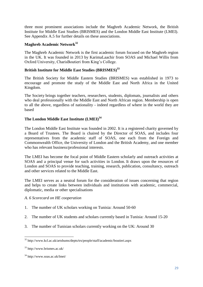three most prominent associations include the Maghreb Academic Network, the British Institute for Middle East Studies (BRISMES) and the London Middle East Institute (LMEI). See Appendix A.5 for further details on these associations.

## **Maghreb Academic Network<sup>32</sup>**

The Maghreb Academic Network is the first academic forum focused on the Maghreb region in the UK. It was founded in 2013 by KarimaLaachir from SOAS and Michael Willis from Oxford University, CharisBoutieri from King's College.

## **British Institute for Middle East Studies (BRISMES)<sup>33</sup>**

The British Society for Middle Eastern Studies (BRISMES) was established in 1973 to encourage and promote the study of the Middle East and North Africa in the United Kingdom.

The Society brings together teachers, researchers, students, diplomats, journalists and others who deal professionally with the Middle East and North African region. Membership is open to all the above, regardless of nationality - indeed regardless of where in the world they are based

## **The London Middle East Institute (LMEI)<sup>34</sup>**

The London Middle East Institute was founded in 2002. It is a registered charity governed by a Board of Trustees. The Board is chaired by the Director of SOAS, and includes four representatives from the academic staff of SOAS, one each from the Foreign and Commonwealth Office, the University of London and the British Academy, and one member who has relevant business/professional interests.

The LMEI has become the focal point of Middle Eastern scholarly and outreach activities at SOAS and a principal venue for such activities in London. It draws upon the resources of London and SOAS to provide teaching, training, research, publication, consultancy, outreach and other services related to the Middle East.

The LMEI serves as a neutral forum for the consideration of issues concerning that region and helps to create links between individuals and institutions with academic, commercial, diplomatic, media or other specialisations

#### *A. 6 Scorecard on HE cooperation*

- 1. The number of UK scholars working on Tunisia: Around 50-60
- 2. The number of UK students and scholars currently based in Tunisia: Around 15-20
- 3. The number of Tunisian scholars currently working on the UK: Around 30

1

<sup>32</sup> http://www.kcl.ac.uk/artshums/depts/trs/people/staff/academic/boutieri.aspx

<sup>33</sup> http://www.brismes.ac.uk/

<sup>34</sup> http://www.soas.ac.uk/lmei/